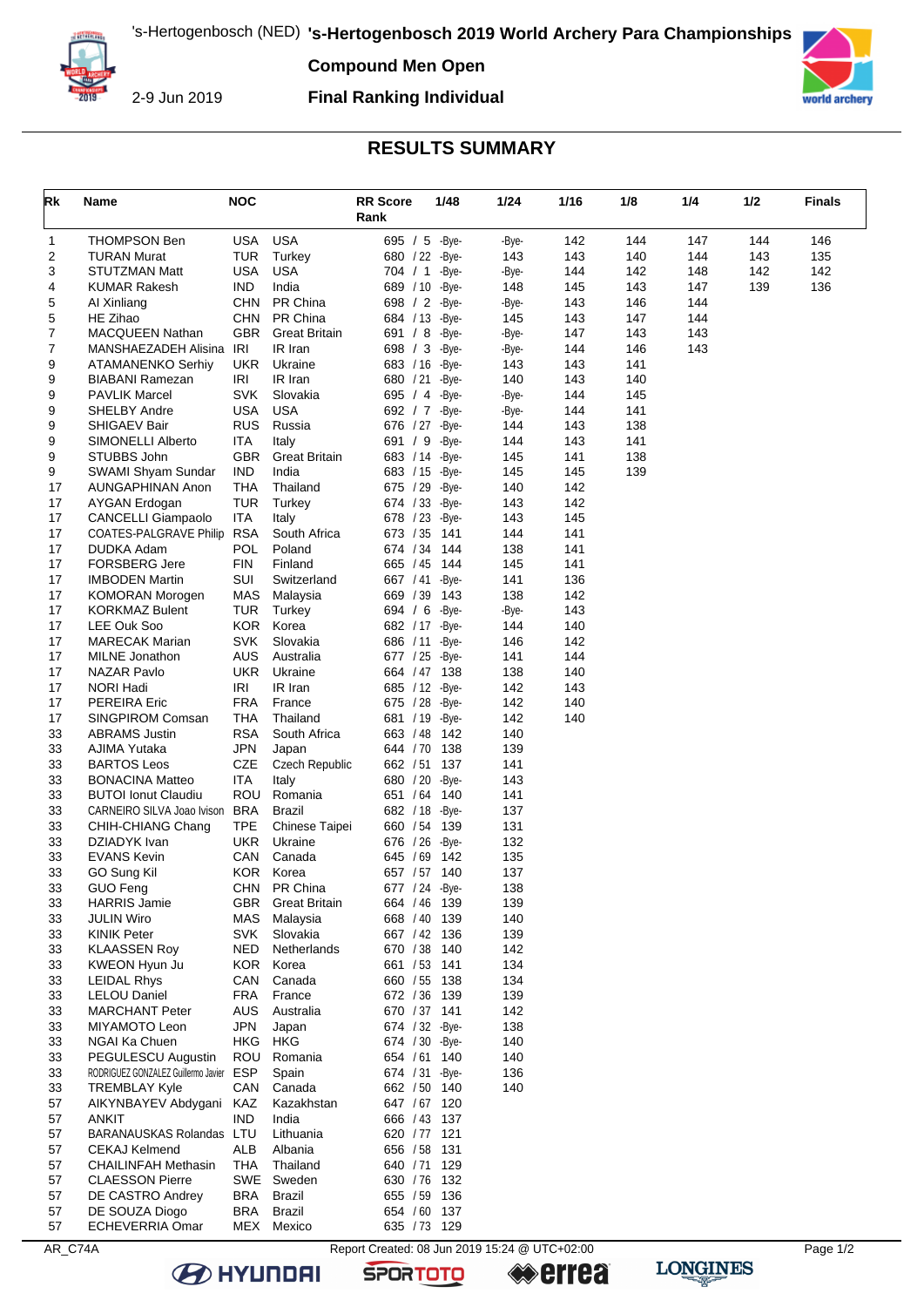

**Compound Men Open**

2-9 Jun 2019

## **Final Ranking Individual**



## **RESULTS SUMMARY**

| <b>USA</b><br>1<br><b>THOMPSON Ben</b><br>USA<br>695 / 5 - Bye-<br>142<br>144<br>147<br>144<br>146<br>-Bye-<br>2<br><b>TUR</b><br>Turkey<br>143<br>143<br>140<br>143<br>135<br><b>TURAN Murat</b><br>680 / 22 - Bye-<br>144<br>3<br>142<br><b>USA</b><br><b>USA</b><br>142<br>148<br>142<br>STUTZMAN Matt<br>704 / 1<br>-Bye-<br>-Bye-<br>144<br>4<br><b>IND</b><br>India<br>689 / 10<br>148<br>143<br>147<br>139<br>136<br><b>KUMAR Rakesh</b><br>-Bye-<br>145<br>5<br>PR China<br>698 / 2 -Bye-<br>AI Xinliang<br>CHN<br>-Bye-<br>143<br>146<br>144<br>5<br><b>CHN</b><br>PR China<br>145<br>147<br>144<br>HE Zihao<br>684 / 13 - Bye-<br>143<br>7<br><b>GBR</b><br>691 / 8<br>MACQUEEN Nathan<br><b>Great Britain</b><br>-Bye-<br>-Bye-<br>147<br>143<br>143<br>7<br>IRI<br>143<br>MANSHAEZADEH Alisina<br>IR Iran<br>698 / 3 - Bye-<br>-Bye-<br>144<br>146<br>9<br>Ukraine<br>143<br><b>ATAMANENKO Serhiy</b><br>UKR<br>683 / 16<br>-Bye-<br>143<br>141<br>9<br>IRI<br>IR Iran<br>680 / 21 - Bye-<br>140<br>140<br><b>BIABANI Ramezan</b><br>143<br>9<br><b>SVK</b><br>Slovakia<br><b>PAVLIK Marcel</b><br>695 / 4 - Bye-<br>-Bye-<br>144<br>145<br>9<br><b>USA</b><br><b>USA</b><br>144<br>141<br><b>SHELBY Andre</b><br>692 / 7 - Bye-<br>-Bye-<br>9<br><b>RUS</b><br>Russia<br>676 / 27 - Bye-<br>144<br>138<br>SHIGAEV Bair<br>143<br>9<br>141<br>SIMONELLI Alberto<br><b>ITA</b><br>Italy<br>691 / 9 - Bye-<br>144<br>143<br>9<br>STUBBS John<br>GBR<br>145<br>138<br><b>Great Britain</b><br>683 / 14 - Bye-<br>141<br>9<br>145<br><b>IND</b><br>India<br>683 / 15 - Bye-<br>145<br>139<br>SWAMI Shyam Sundar<br>17<br><b>THA</b><br>Thailand<br>140<br>142<br>AUNGAPHINAN Anon<br>675 / 29<br>-Bye-<br>17<br><b>TUR</b><br>143<br>142<br><b>AYGAN Erdogan</b><br>Turkey<br>674 / 33<br>-Bye-<br>17<br><b>ITA</b><br>Italy<br>678 / 23<br>143<br><b>CANCELLI Giampaolo</b><br>-Bye-<br>145<br>17<br>RSA<br>South Africa<br>144<br><b>COATES-PALGRAVE Philip</b><br>673 / 35<br>141<br>141<br>17<br>POL<br>674 / 34<br>144<br>138<br>141<br>DUDKA Adam<br>Poland<br>17<br><b>FORSBERG Jere</b><br><b>FIN</b><br>665 / 45<br>144<br>145<br>141<br>Finland<br>17<br>141<br><b>IMBODEN Martin</b><br>SUI<br>Switzerland<br>667 / 41 - Bye-<br>136<br>138<br>17<br>MAS<br>669 / 39<br>142<br>Malaysia<br>143<br>KOMORAN Morogen<br>17<br><b>TUR</b><br>Turkey<br>694 / 6<br>-Bye-<br>143<br><b>KORKMAZ Bulent</b><br>-Bye-<br>17<br>KOR<br>Korea<br>144<br>LEE Ouk Soo<br>682 / 17 - Bye-<br>140<br>17<br><b>MARECAK Marian</b><br><b>SVK</b><br>Slovakia<br>686 / 11<br>-Bye-<br>146<br>142<br>17<br><b>AUS</b><br>Australia<br>144<br>MILNE Jonathon<br>677 / 25 - Bye-<br>141<br>17<br><b>UKR</b><br>138<br>NAZAR Pavlo<br>Ukraine<br>664 / 47<br>138<br>140<br>17<br>IRI<br>IR Iran<br>685 / 12 - Bye-<br>142<br>143<br>NORI Hadi<br>17<br><b>FRA</b><br>142<br>140<br><b>PEREIRA Eric</b><br>France<br>675 / 28<br>-Bye-<br>17<br><b>THA</b><br>142<br>140<br>SINGPIROM Comsan<br>Thailand<br>681 / 19 - Bye-<br>33<br><b>ABRAMS Justin</b><br><b>RSA</b><br>South Africa<br>663 / 48<br>140<br>142<br>33<br>JPN<br>139<br>AJIMA Yutaka<br>644 / 70 138<br>Japan<br>CZE<br>33<br><b>Czech Republic</b><br>662 / 51<br>137<br>141<br><b>BARTOS Leos</b><br>33<br>ITA<br>-Bye-<br>143<br><b>BONACINA Matteo</b><br>Italy<br>680 / 20<br>33<br>ROU<br>651 / 64<br>141<br><b>BUTOI Ionut Claudiu</b><br>Romania<br>140<br>33<br>BRA<br>137<br>CARNEIRO SILVA Joao Ivison<br>Brazil<br>682 / 18<br>-Bye-<br>33<br><b>TPE</b><br>660 / 54<br>131<br>CHIH-CHIANG Chang<br>Chinese Taipei<br>139<br>33<br>DZIADYK Ivan<br><b>UKR</b><br>Ukraine<br>132<br>676 / 26<br>-Bye-<br>33<br><b>EVANS Kevin</b><br>CAN<br>Canada<br>135<br>645 / 69<br>142<br>33<br><b>KOR</b><br>137<br>Korea<br>657 / 57 140<br>GO Sung Kil<br>33<br>GUO Feng<br>CHN<br><b>PR China</b><br>677 / 24 - Bye-<br>138<br>33<br><b>HARRIS Jamie</b><br>GBR<br>139<br><b>Great Britain</b><br>664 / 46 139<br>33<br>MAS<br>668 / 40 139<br>140<br><b>JULIN Wiro</b><br>Malaysia<br>33<br><b>KINIK Peter</b><br><b>SVK</b><br>Slovakia<br>667 / 42 136<br>139<br>33<br><b>NED</b><br>670 / 38 140<br>142<br><b>KLAASSEN Roy</b><br>Netherlands<br>33<br>KOR<br>Korea<br>661 / 53 141<br>134<br>KWEON Hyun Ju<br>33<br>134<br><b>LEIDAL Rhys</b><br>CAN<br>Canada<br>660 / 55 138<br>33<br><b>LELOU Daniel</b><br><b>FRA</b><br>France<br>672 / 36 139<br>139<br>33<br>AUS<br>Australia<br>670 / 37 141<br>142<br><b>MARCHANT Peter</b><br>33<br>JPN<br>138<br>MIYAMOTO Leon<br>Japan<br>674 / 32 - Bye-<br>33<br>NGAI Ka Chuen<br>HKG<br>HKG<br>674 / 30 - Bye-<br>140<br>33<br>ROU<br>Romania<br>140<br>PEGULESCU Augustin<br>654 / 61 140<br>33<br>RODRIGUEZ GONZALEZ Guillermo Javier ESP<br>136<br>Spain<br>674 / 31 - Bye-<br>33<br>CAN<br>140<br><b>TREMBLAY Kyle</b><br>Canada<br>662 / 50 140<br>57<br>AIKYNBAYEV Abdygani KAZ<br>Kazakhstan<br>647 / 67 120<br>57<br><b>IND</b><br><b>ANKIT</b><br>India<br>666 / 43 137<br>57<br>BARANAUSKAS Rolandas LTU<br>620 / 77 121<br>Lithuania<br>57<br>ALB<br><b>CEKAJ Kelmend</b><br>Albania<br>656 / 58 131<br>57<br><b>THA</b><br>Thailand<br>640 / 71 129<br><b>CHAILINFAH Methasin</b><br>SWE<br>57<br><b>CLAESSON Pierre</b><br>Sweden<br>630 / 76 132<br>57<br><b>BRA</b><br><b>Brazil</b><br>655 / 59 136<br>DE CASTRO Andrey<br>57<br>DE SOUZA Diogo<br><b>BRA</b><br><b>Brazil</b><br>654 / 60 137<br>57<br><b>ECHEVERRIA Omar</b><br>MEX Mexico<br>635 / 73 129<br>AR_C74A<br>Report Created: 08 Jun 2019 15:24 @ UTC+02:00<br>Page 1/2 | Rk | Name | <b>NOC</b> | <b>RR</b> Score<br>1/48<br>Rank | 1/24 | 1/16 | 1/8 | 1/4 | 1/2 | <b>Finals</b> |
|----------------------------------------------------------------------------------------------------------------------------------------------------------------------------------------------------------------------------------------------------------------------------------------------------------------------------------------------------------------------------------------------------------------------------------------------------------------------------------------------------------------------------------------------------------------------------------------------------------------------------------------------------------------------------------------------------------------------------------------------------------------------------------------------------------------------------------------------------------------------------------------------------------------------------------------------------------------------------------------------------------------------------------------------------------------------------------------------------------------------------------------------------------------------------------------------------------------------------------------------------------------------------------------------------------------------------------------------------------------------------------------------------------------------------------------------------------------------------------------------------------------------------------------------------------------------------------------------------------------------------------------------------------------------------------------------------------------------------------------------------------------------------------------------------------------------------------------------------------------------------------------------------------------------------------------------------------------------------------------------------------------------------------------------------------------------------------------------------------------------------------------------------------------------------------------------------------------------------------------------------------------------------------------------------------------------------------------------------------------------------------------------------------------------------------------------------------------------------------------------------------------------------------------------------------------------------------------------------------------------------------------------------------------------------------------------------------------------------------------------------------------------------------------------------------------------------------------------------------------------------------------------------------------------------------------------------------------------------------------------------------------------------------------------------------------------------------------------------------------------------------------------------------------------------------------------------------------------------------------------------------------------------------------------------------------------------------------------------------------------------------------------------------------------------------------------------------------------------------------------------------------------------------------------------------------------------------------------------------------------------------------------------------------------------------------------------------------------------------------------------------------------------------------------------------------------------------------------------------------------------------------------------------------------------------------------------------------------------------------------------------------------------------------------------------------------------------------------------------------------------------------------------------------------------------------------------------------------------------------------------------------------------------------------------------------------------------------------------------------------------------------------------------------------------------------------------------------------------------------------------------------------------------------------------------------------------------------------------------------------------------------------------------------------------------------------------------------------------------------------------------------------------------------------------------------------------------------------------------------------------------------------------------------------------------------------------------------------------------------------------------------------------------------------------------------------------------------------------------------------------------------------------------------------------------------------------------------------------------------------------------------------------------------------------------------------------------------------------------------------------------------------------------------------------------------------------------------------------------------------------------------------------------------------------------------------------|----|------|------------|---------------------------------|------|------|-----|-----|-----|---------------|
|                                                                                                                                                                                                                                                                                                                                                                                                                                                                                                                                                                                                                                                                                                                                                                                                                                                                                                                                                                                                                                                                                                                                                                                                                                                                                                                                                                                                                                                                                                                                                                                                                                                                                                                                                                                                                                                                                                                                                                                                                                                                                                                                                                                                                                                                                                                                                                                                                                                                                                                                                                                                                                                                                                                                                                                                                                                                                                                                                                                                                                                                                                                                                                                                                                                                                                                                                                                                                                                                                                                                                                                                                                                                                                                                                                                                                                                                                                                                                                                                                                                                                                                                                                                                                                                                                                                                                                                                                                                                                                                                                                                                                                                                                                                                                                                                                                                                                                                                                                                                                                                                                                                                                                                                                                                                                                                                                                                                                                                                                                                                                                            |    |      |            |                                 |      |      |     |     |     |               |
|                                                                                                                                                                                                                                                                                                                                                                                                                                                                                                                                                                                                                                                                                                                                                                                                                                                                                                                                                                                                                                                                                                                                                                                                                                                                                                                                                                                                                                                                                                                                                                                                                                                                                                                                                                                                                                                                                                                                                                                                                                                                                                                                                                                                                                                                                                                                                                                                                                                                                                                                                                                                                                                                                                                                                                                                                                                                                                                                                                                                                                                                                                                                                                                                                                                                                                                                                                                                                                                                                                                                                                                                                                                                                                                                                                                                                                                                                                                                                                                                                                                                                                                                                                                                                                                                                                                                                                                                                                                                                                                                                                                                                                                                                                                                                                                                                                                                                                                                                                                                                                                                                                                                                                                                                                                                                                                                                                                                                                                                                                                                                                            |    |      |            |                                 |      |      |     |     |     |               |
|                                                                                                                                                                                                                                                                                                                                                                                                                                                                                                                                                                                                                                                                                                                                                                                                                                                                                                                                                                                                                                                                                                                                                                                                                                                                                                                                                                                                                                                                                                                                                                                                                                                                                                                                                                                                                                                                                                                                                                                                                                                                                                                                                                                                                                                                                                                                                                                                                                                                                                                                                                                                                                                                                                                                                                                                                                                                                                                                                                                                                                                                                                                                                                                                                                                                                                                                                                                                                                                                                                                                                                                                                                                                                                                                                                                                                                                                                                                                                                                                                                                                                                                                                                                                                                                                                                                                                                                                                                                                                                                                                                                                                                                                                                                                                                                                                                                                                                                                                                                                                                                                                                                                                                                                                                                                                                                                                                                                                                                                                                                                                                            |    |      |            |                                 |      |      |     |     |     |               |
|                                                                                                                                                                                                                                                                                                                                                                                                                                                                                                                                                                                                                                                                                                                                                                                                                                                                                                                                                                                                                                                                                                                                                                                                                                                                                                                                                                                                                                                                                                                                                                                                                                                                                                                                                                                                                                                                                                                                                                                                                                                                                                                                                                                                                                                                                                                                                                                                                                                                                                                                                                                                                                                                                                                                                                                                                                                                                                                                                                                                                                                                                                                                                                                                                                                                                                                                                                                                                                                                                                                                                                                                                                                                                                                                                                                                                                                                                                                                                                                                                                                                                                                                                                                                                                                                                                                                                                                                                                                                                                                                                                                                                                                                                                                                                                                                                                                                                                                                                                                                                                                                                                                                                                                                                                                                                                                                                                                                                                                                                                                                                                            |    |      |            |                                 |      |      |     |     |     |               |
|                                                                                                                                                                                                                                                                                                                                                                                                                                                                                                                                                                                                                                                                                                                                                                                                                                                                                                                                                                                                                                                                                                                                                                                                                                                                                                                                                                                                                                                                                                                                                                                                                                                                                                                                                                                                                                                                                                                                                                                                                                                                                                                                                                                                                                                                                                                                                                                                                                                                                                                                                                                                                                                                                                                                                                                                                                                                                                                                                                                                                                                                                                                                                                                                                                                                                                                                                                                                                                                                                                                                                                                                                                                                                                                                                                                                                                                                                                                                                                                                                                                                                                                                                                                                                                                                                                                                                                                                                                                                                                                                                                                                                                                                                                                                                                                                                                                                                                                                                                                                                                                                                                                                                                                                                                                                                                                                                                                                                                                                                                                                                                            |    |      |            |                                 |      |      |     |     |     |               |
|                                                                                                                                                                                                                                                                                                                                                                                                                                                                                                                                                                                                                                                                                                                                                                                                                                                                                                                                                                                                                                                                                                                                                                                                                                                                                                                                                                                                                                                                                                                                                                                                                                                                                                                                                                                                                                                                                                                                                                                                                                                                                                                                                                                                                                                                                                                                                                                                                                                                                                                                                                                                                                                                                                                                                                                                                                                                                                                                                                                                                                                                                                                                                                                                                                                                                                                                                                                                                                                                                                                                                                                                                                                                                                                                                                                                                                                                                                                                                                                                                                                                                                                                                                                                                                                                                                                                                                                                                                                                                                                                                                                                                                                                                                                                                                                                                                                                                                                                                                                                                                                                                                                                                                                                                                                                                                                                                                                                                                                                                                                                                                            |    |      |            |                                 |      |      |     |     |     |               |
|                                                                                                                                                                                                                                                                                                                                                                                                                                                                                                                                                                                                                                                                                                                                                                                                                                                                                                                                                                                                                                                                                                                                                                                                                                                                                                                                                                                                                                                                                                                                                                                                                                                                                                                                                                                                                                                                                                                                                                                                                                                                                                                                                                                                                                                                                                                                                                                                                                                                                                                                                                                                                                                                                                                                                                                                                                                                                                                                                                                                                                                                                                                                                                                                                                                                                                                                                                                                                                                                                                                                                                                                                                                                                                                                                                                                                                                                                                                                                                                                                                                                                                                                                                                                                                                                                                                                                                                                                                                                                                                                                                                                                                                                                                                                                                                                                                                                                                                                                                                                                                                                                                                                                                                                                                                                                                                                                                                                                                                                                                                                                                            |    |      |            |                                 |      |      |     |     |     |               |
|                                                                                                                                                                                                                                                                                                                                                                                                                                                                                                                                                                                                                                                                                                                                                                                                                                                                                                                                                                                                                                                                                                                                                                                                                                                                                                                                                                                                                                                                                                                                                                                                                                                                                                                                                                                                                                                                                                                                                                                                                                                                                                                                                                                                                                                                                                                                                                                                                                                                                                                                                                                                                                                                                                                                                                                                                                                                                                                                                                                                                                                                                                                                                                                                                                                                                                                                                                                                                                                                                                                                                                                                                                                                                                                                                                                                                                                                                                                                                                                                                                                                                                                                                                                                                                                                                                                                                                                                                                                                                                                                                                                                                                                                                                                                                                                                                                                                                                                                                                                                                                                                                                                                                                                                                                                                                                                                                                                                                                                                                                                                                                            |    |      |            |                                 |      |      |     |     |     |               |
|                                                                                                                                                                                                                                                                                                                                                                                                                                                                                                                                                                                                                                                                                                                                                                                                                                                                                                                                                                                                                                                                                                                                                                                                                                                                                                                                                                                                                                                                                                                                                                                                                                                                                                                                                                                                                                                                                                                                                                                                                                                                                                                                                                                                                                                                                                                                                                                                                                                                                                                                                                                                                                                                                                                                                                                                                                                                                                                                                                                                                                                                                                                                                                                                                                                                                                                                                                                                                                                                                                                                                                                                                                                                                                                                                                                                                                                                                                                                                                                                                                                                                                                                                                                                                                                                                                                                                                                                                                                                                                                                                                                                                                                                                                                                                                                                                                                                                                                                                                                                                                                                                                                                                                                                                                                                                                                                                                                                                                                                                                                                                                            |    |      |            |                                 |      |      |     |     |     |               |
|                                                                                                                                                                                                                                                                                                                                                                                                                                                                                                                                                                                                                                                                                                                                                                                                                                                                                                                                                                                                                                                                                                                                                                                                                                                                                                                                                                                                                                                                                                                                                                                                                                                                                                                                                                                                                                                                                                                                                                                                                                                                                                                                                                                                                                                                                                                                                                                                                                                                                                                                                                                                                                                                                                                                                                                                                                                                                                                                                                                                                                                                                                                                                                                                                                                                                                                                                                                                                                                                                                                                                                                                                                                                                                                                                                                                                                                                                                                                                                                                                                                                                                                                                                                                                                                                                                                                                                                                                                                                                                                                                                                                                                                                                                                                                                                                                                                                                                                                                                                                                                                                                                                                                                                                                                                                                                                                                                                                                                                                                                                                                                            |    |      |            |                                 |      |      |     |     |     |               |
|                                                                                                                                                                                                                                                                                                                                                                                                                                                                                                                                                                                                                                                                                                                                                                                                                                                                                                                                                                                                                                                                                                                                                                                                                                                                                                                                                                                                                                                                                                                                                                                                                                                                                                                                                                                                                                                                                                                                                                                                                                                                                                                                                                                                                                                                                                                                                                                                                                                                                                                                                                                                                                                                                                                                                                                                                                                                                                                                                                                                                                                                                                                                                                                                                                                                                                                                                                                                                                                                                                                                                                                                                                                                                                                                                                                                                                                                                                                                                                                                                                                                                                                                                                                                                                                                                                                                                                                                                                                                                                                                                                                                                                                                                                                                                                                                                                                                                                                                                                                                                                                                                                                                                                                                                                                                                                                                                                                                                                                                                                                                                                            |    |      |            |                                 |      |      |     |     |     |               |
|                                                                                                                                                                                                                                                                                                                                                                                                                                                                                                                                                                                                                                                                                                                                                                                                                                                                                                                                                                                                                                                                                                                                                                                                                                                                                                                                                                                                                                                                                                                                                                                                                                                                                                                                                                                                                                                                                                                                                                                                                                                                                                                                                                                                                                                                                                                                                                                                                                                                                                                                                                                                                                                                                                                                                                                                                                                                                                                                                                                                                                                                                                                                                                                                                                                                                                                                                                                                                                                                                                                                                                                                                                                                                                                                                                                                                                                                                                                                                                                                                                                                                                                                                                                                                                                                                                                                                                                                                                                                                                                                                                                                                                                                                                                                                                                                                                                                                                                                                                                                                                                                                                                                                                                                                                                                                                                                                                                                                                                                                                                                                                            |    |      |            |                                 |      |      |     |     |     |               |
|                                                                                                                                                                                                                                                                                                                                                                                                                                                                                                                                                                                                                                                                                                                                                                                                                                                                                                                                                                                                                                                                                                                                                                                                                                                                                                                                                                                                                                                                                                                                                                                                                                                                                                                                                                                                                                                                                                                                                                                                                                                                                                                                                                                                                                                                                                                                                                                                                                                                                                                                                                                                                                                                                                                                                                                                                                                                                                                                                                                                                                                                                                                                                                                                                                                                                                                                                                                                                                                                                                                                                                                                                                                                                                                                                                                                                                                                                                                                                                                                                                                                                                                                                                                                                                                                                                                                                                                                                                                                                                                                                                                                                                                                                                                                                                                                                                                                                                                                                                                                                                                                                                                                                                                                                                                                                                                                                                                                                                                                                                                                                                            |    |      |            |                                 |      |      |     |     |     |               |
|                                                                                                                                                                                                                                                                                                                                                                                                                                                                                                                                                                                                                                                                                                                                                                                                                                                                                                                                                                                                                                                                                                                                                                                                                                                                                                                                                                                                                                                                                                                                                                                                                                                                                                                                                                                                                                                                                                                                                                                                                                                                                                                                                                                                                                                                                                                                                                                                                                                                                                                                                                                                                                                                                                                                                                                                                                                                                                                                                                                                                                                                                                                                                                                                                                                                                                                                                                                                                                                                                                                                                                                                                                                                                                                                                                                                                                                                                                                                                                                                                                                                                                                                                                                                                                                                                                                                                                                                                                                                                                                                                                                                                                                                                                                                                                                                                                                                                                                                                                                                                                                                                                                                                                                                                                                                                                                                                                                                                                                                                                                                                                            |    |      |            |                                 |      |      |     |     |     |               |
|                                                                                                                                                                                                                                                                                                                                                                                                                                                                                                                                                                                                                                                                                                                                                                                                                                                                                                                                                                                                                                                                                                                                                                                                                                                                                                                                                                                                                                                                                                                                                                                                                                                                                                                                                                                                                                                                                                                                                                                                                                                                                                                                                                                                                                                                                                                                                                                                                                                                                                                                                                                                                                                                                                                                                                                                                                                                                                                                                                                                                                                                                                                                                                                                                                                                                                                                                                                                                                                                                                                                                                                                                                                                                                                                                                                                                                                                                                                                                                                                                                                                                                                                                                                                                                                                                                                                                                                                                                                                                                                                                                                                                                                                                                                                                                                                                                                                                                                                                                                                                                                                                                                                                                                                                                                                                                                                                                                                                                                                                                                                                                            |    |      |            |                                 |      |      |     |     |     |               |
|                                                                                                                                                                                                                                                                                                                                                                                                                                                                                                                                                                                                                                                                                                                                                                                                                                                                                                                                                                                                                                                                                                                                                                                                                                                                                                                                                                                                                                                                                                                                                                                                                                                                                                                                                                                                                                                                                                                                                                                                                                                                                                                                                                                                                                                                                                                                                                                                                                                                                                                                                                                                                                                                                                                                                                                                                                                                                                                                                                                                                                                                                                                                                                                                                                                                                                                                                                                                                                                                                                                                                                                                                                                                                                                                                                                                                                                                                                                                                                                                                                                                                                                                                                                                                                                                                                                                                                                                                                                                                                                                                                                                                                                                                                                                                                                                                                                                                                                                                                                                                                                                                                                                                                                                                                                                                                                                                                                                                                                                                                                                                                            |    |      |            |                                 |      |      |     |     |     |               |
|                                                                                                                                                                                                                                                                                                                                                                                                                                                                                                                                                                                                                                                                                                                                                                                                                                                                                                                                                                                                                                                                                                                                                                                                                                                                                                                                                                                                                                                                                                                                                                                                                                                                                                                                                                                                                                                                                                                                                                                                                                                                                                                                                                                                                                                                                                                                                                                                                                                                                                                                                                                                                                                                                                                                                                                                                                                                                                                                                                                                                                                                                                                                                                                                                                                                                                                                                                                                                                                                                                                                                                                                                                                                                                                                                                                                                                                                                                                                                                                                                                                                                                                                                                                                                                                                                                                                                                                                                                                                                                                                                                                                                                                                                                                                                                                                                                                                                                                                                                                                                                                                                                                                                                                                                                                                                                                                                                                                                                                                                                                                                                            |    |      |            |                                 |      |      |     |     |     |               |
|                                                                                                                                                                                                                                                                                                                                                                                                                                                                                                                                                                                                                                                                                                                                                                                                                                                                                                                                                                                                                                                                                                                                                                                                                                                                                                                                                                                                                                                                                                                                                                                                                                                                                                                                                                                                                                                                                                                                                                                                                                                                                                                                                                                                                                                                                                                                                                                                                                                                                                                                                                                                                                                                                                                                                                                                                                                                                                                                                                                                                                                                                                                                                                                                                                                                                                                                                                                                                                                                                                                                                                                                                                                                                                                                                                                                                                                                                                                                                                                                                                                                                                                                                                                                                                                                                                                                                                                                                                                                                                                                                                                                                                                                                                                                                                                                                                                                                                                                                                                                                                                                                                                                                                                                                                                                                                                                                                                                                                                                                                                                                                            |    |      |            |                                 |      |      |     |     |     |               |
|                                                                                                                                                                                                                                                                                                                                                                                                                                                                                                                                                                                                                                                                                                                                                                                                                                                                                                                                                                                                                                                                                                                                                                                                                                                                                                                                                                                                                                                                                                                                                                                                                                                                                                                                                                                                                                                                                                                                                                                                                                                                                                                                                                                                                                                                                                                                                                                                                                                                                                                                                                                                                                                                                                                                                                                                                                                                                                                                                                                                                                                                                                                                                                                                                                                                                                                                                                                                                                                                                                                                                                                                                                                                                                                                                                                                                                                                                                                                                                                                                                                                                                                                                                                                                                                                                                                                                                                                                                                                                                                                                                                                                                                                                                                                                                                                                                                                                                                                                                                                                                                                                                                                                                                                                                                                                                                                                                                                                                                                                                                                                                            |    |      |            |                                 |      |      |     |     |     |               |
|                                                                                                                                                                                                                                                                                                                                                                                                                                                                                                                                                                                                                                                                                                                                                                                                                                                                                                                                                                                                                                                                                                                                                                                                                                                                                                                                                                                                                                                                                                                                                                                                                                                                                                                                                                                                                                                                                                                                                                                                                                                                                                                                                                                                                                                                                                                                                                                                                                                                                                                                                                                                                                                                                                                                                                                                                                                                                                                                                                                                                                                                                                                                                                                                                                                                                                                                                                                                                                                                                                                                                                                                                                                                                                                                                                                                                                                                                                                                                                                                                                                                                                                                                                                                                                                                                                                                                                                                                                                                                                                                                                                                                                                                                                                                                                                                                                                                                                                                                                                                                                                                                                                                                                                                                                                                                                                                                                                                                                                                                                                                                                            |    |      |            |                                 |      |      |     |     |     |               |
|                                                                                                                                                                                                                                                                                                                                                                                                                                                                                                                                                                                                                                                                                                                                                                                                                                                                                                                                                                                                                                                                                                                                                                                                                                                                                                                                                                                                                                                                                                                                                                                                                                                                                                                                                                                                                                                                                                                                                                                                                                                                                                                                                                                                                                                                                                                                                                                                                                                                                                                                                                                                                                                                                                                                                                                                                                                                                                                                                                                                                                                                                                                                                                                                                                                                                                                                                                                                                                                                                                                                                                                                                                                                                                                                                                                                                                                                                                                                                                                                                                                                                                                                                                                                                                                                                                                                                                                                                                                                                                                                                                                                                                                                                                                                                                                                                                                                                                                                                                                                                                                                                                                                                                                                                                                                                                                                                                                                                                                                                                                                                                            |    |      |            |                                 |      |      |     |     |     |               |
|                                                                                                                                                                                                                                                                                                                                                                                                                                                                                                                                                                                                                                                                                                                                                                                                                                                                                                                                                                                                                                                                                                                                                                                                                                                                                                                                                                                                                                                                                                                                                                                                                                                                                                                                                                                                                                                                                                                                                                                                                                                                                                                                                                                                                                                                                                                                                                                                                                                                                                                                                                                                                                                                                                                                                                                                                                                                                                                                                                                                                                                                                                                                                                                                                                                                                                                                                                                                                                                                                                                                                                                                                                                                                                                                                                                                                                                                                                                                                                                                                                                                                                                                                                                                                                                                                                                                                                                                                                                                                                                                                                                                                                                                                                                                                                                                                                                                                                                                                                                                                                                                                                                                                                                                                                                                                                                                                                                                                                                                                                                                                                            |    |      |            |                                 |      |      |     |     |     |               |
|                                                                                                                                                                                                                                                                                                                                                                                                                                                                                                                                                                                                                                                                                                                                                                                                                                                                                                                                                                                                                                                                                                                                                                                                                                                                                                                                                                                                                                                                                                                                                                                                                                                                                                                                                                                                                                                                                                                                                                                                                                                                                                                                                                                                                                                                                                                                                                                                                                                                                                                                                                                                                                                                                                                                                                                                                                                                                                                                                                                                                                                                                                                                                                                                                                                                                                                                                                                                                                                                                                                                                                                                                                                                                                                                                                                                                                                                                                                                                                                                                                                                                                                                                                                                                                                                                                                                                                                                                                                                                                                                                                                                                                                                                                                                                                                                                                                                                                                                                                                                                                                                                                                                                                                                                                                                                                                                                                                                                                                                                                                                                                            |    |      |            |                                 |      |      |     |     |     |               |
|                                                                                                                                                                                                                                                                                                                                                                                                                                                                                                                                                                                                                                                                                                                                                                                                                                                                                                                                                                                                                                                                                                                                                                                                                                                                                                                                                                                                                                                                                                                                                                                                                                                                                                                                                                                                                                                                                                                                                                                                                                                                                                                                                                                                                                                                                                                                                                                                                                                                                                                                                                                                                                                                                                                                                                                                                                                                                                                                                                                                                                                                                                                                                                                                                                                                                                                                                                                                                                                                                                                                                                                                                                                                                                                                                                                                                                                                                                                                                                                                                                                                                                                                                                                                                                                                                                                                                                                                                                                                                                                                                                                                                                                                                                                                                                                                                                                                                                                                                                                                                                                                                                                                                                                                                                                                                                                                                                                                                                                                                                                                                                            |    |      |            |                                 |      |      |     |     |     |               |
|                                                                                                                                                                                                                                                                                                                                                                                                                                                                                                                                                                                                                                                                                                                                                                                                                                                                                                                                                                                                                                                                                                                                                                                                                                                                                                                                                                                                                                                                                                                                                                                                                                                                                                                                                                                                                                                                                                                                                                                                                                                                                                                                                                                                                                                                                                                                                                                                                                                                                                                                                                                                                                                                                                                                                                                                                                                                                                                                                                                                                                                                                                                                                                                                                                                                                                                                                                                                                                                                                                                                                                                                                                                                                                                                                                                                                                                                                                                                                                                                                                                                                                                                                                                                                                                                                                                                                                                                                                                                                                                                                                                                                                                                                                                                                                                                                                                                                                                                                                                                                                                                                                                                                                                                                                                                                                                                                                                                                                                                                                                                                                            |    |      |            |                                 |      |      |     |     |     |               |
|                                                                                                                                                                                                                                                                                                                                                                                                                                                                                                                                                                                                                                                                                                                                                                                                                                                                                                                                                                                                                                                                                                                                                                                                                                                                                                                                                                                                                                                                                                                                                                                                                                                                                                                                                                                                                                                                                                                                                                                                                                                                                                                                                                                                                                                                                                                                                                                                                                                                                                                                                                                                                                                                                                                                                                                                                                                                                                                                                                                                                                                                                                                                                                                                                                                                                                                                                                                                                                                                                                                                                                                                                                                                                                                                                                                                                                                                                                                                                                                                                                                                                                                                                                                                                                                                                                                                                                                                                                                                                                                                                                                                                                                                                                                                                                                                                                                                                                                                                                                                                                                                                                                                                                                                                                                                                                                                                                                                                                                                                                                                                                            |    |      |            |                                 |      |      |     |     |     |               |
|                                                                                                                                                                                                                                                                                                                                                                                                                                                                                                                                                                                                                                                                                                                                                                                                                                                                                                                                                                                                                                                                                                                                                                                                                                                                                                                                                                                                                                                                                                                                                                                                                                                                                                                                                                                                                                                                                                                                                                                                                                                                                                                                                                                                                                                                                                                                                                                                                                                                                                                                                                                                                                                                                                                                                                                                                                                                                                                                                                                                                                                                                                                                                                                                                                                                                                                                                                                                                                                                                                                                                                                                                                                                                                                                                                                                                                                                                                                                                                                                                                                                                                                                                                                                                                                                                                                                                                                                                                                                                                                                                                                                                                                                                                                                                                                                                                                                                                                                                                                                                                                                                                                                                                                                                                                                                                                                                                                                                                                                                                                                                                            |    |      |            |                                 |      |      |     |     |     |               |
|                                                                                                                                                                                                                                                                                                                                                                                                                                                                                                                                                                                                                                                                                                                                                                                                                                                                                                                                                                                                                                                                                                                                                                                                                                                                                                                                                                                                                                                                                                                                                                                                                                                                                                                                                                                                                                                                                                                                                                                                                                                                                                                                                                                                                                                                                                                                                                                                                                                                                                                                                                                                                                                                                                                                                                                                                                                                                                                                                                                                                                                                                                                                                                                                                                                                                                                                                                                                                                                                                                                                                                                                                                                                                                                                                                                                                                                                                                                                                                                                                                                                                                                                                                                                                                                                                                                                                                                                                                                                                                                                                                                                                                                                                                                                                                                                                                                                                                                                                                                                                                                                                                                                                                                                                                                                                                                                                                                                                                                                                                                                                                            |    |      |            |                                 |      |      |     |     |     |               |
|                                                                                                                                                                                                                                                                                                                                                                                                                                                                                                                                                                                                                                                                                                                                                                                                                                                                                                                                                                                                                                                                                                                                                                                                                                                                                                                                                                                                                                                                                                                                                                                                                                                                                                                                                                                                                                                                                                                                                                                                                                                                                                                                                                                                                                                                                                                                                                                                                                                                                                                                                                                                                                                                                                                                                                                                                                                                                                                                                                                                                                                                                                                                                                                                                                                                                                                                                                                                                                                                                                                                                                                                                                                                                                                                                                                                                                                                                                                                                                                                                                                                                                                                                                                                                                                                                                                                                                                                                                                                                                                                                                                                                                                                                                                                                                                                                                                                                                                                                                                                                                                                                                                                                                                                                                                                                                                                                                                                                                                                                                                                                                            |    |      |            |                                 |      |      |     |     |     |               |
|                                                                                                                                                                                                                                                                                                                                                                                                                                                                                                                                                                                                                                                                                                                                                                                                                                                                                                                                                                                                                                                                                                                                                                                                                                                                                                                                                                                                                                                                                                                                                                                                                                                                                                                                                                                                                                                                                                                                                                                                                                                                                                                                                                                                                                                                                                                                                                                                                                                                                                                                                                                                                                                                                                                                                                                                                                                                                                                                                                                                                                                                                                                                                                                                                                                                                                                                                                                                                                                                                                                                                                                                                                                                                                                                                                                                                                                                                                                                                                                                                                                                                                                                                                                                                                                                                                                                                                                                                                                                                                                                                                                                                                                                                                                                                                                                                                                                                                                                                                                                                                                                                                                                                                                                                                                                                                                                                                                                                                                                                                                                                                            |    |      |            |                                 |      |      |     |     |     |               |
|                                                                                                                                                                                                                                                                                                                                                                                                                                                                                                                                                                                                                                                                                                                                                                                                                                                                                                                                                                                                                                                                                                                                                                                                                                                                                                                                                                                                                                                                                                                                                                                                                                                                                                                                                                                                                                                                                                                                                                                                                                                                                                                                                                                                                                                                                                                                                                                                                                                                                                                                                                                                                                                                                                                                                                                                                                                                                                                                                                                                                                                                                                                                                                                                                                                                                                                                                                                                                                                                                                                                                                                                                                                                                                                                                                                                                                                                                                                                                                                                                                                                                                                                                                                                                                                                                                                                                                                                                                                                                                                                                                                                                                                                                                                                                                                                                                                                                                                                                                                                                                                                                                                                                                                                                                                                                                                                                                                                                                                                                                                                                                            |    |      |            |                                 |      |      |     |     |     |               |
|                                                                                                                                                                                                                                                                                                                                                                                                                                                                                                                                                                                                                                                                                                                                                                                                                                                                                                                                                                                                                                                                                                                                                                                                                                                                                                                                                                                                                                                                                                                                                                                                                                                                                                                                                                                                                                                                                                                                                                                                                                                                                                                                                                                                                                                                                                                                                                                                                                                                                                                                                                                                                                                                                                                                                                                                                                                                                                                                                                                                                                                                                                                                                                                                                                                                                                                                                                                                                                                                                                                                                                                                                                                                                                                                                                                                                                                                                                                                                                                                                                                                                                                                                                                                                                                                                                                                                                                                                                                                                                                                                                                                                                                                                                                                                                                                                                                                                                                                                                                                                                                                                                                                                                                                                                                                                                                                                                                                                                                                                                                                                                            |    |      |            |                                 |      |      |     |     |     |               |
|                                                                                                                                                                                                                                                                                                                                                                                                                                                                                                                                                                                                                                                                                                                                                                                                                                                                                                                                                                                                                                                                                                                                                                                                                                                                                                                                                                                                                                                                                                                                                                                                                                                                                                                                                                                                                                                                                                                                                                                                                                                                                                                                                                                                                                                                                                                                                                                                                                                                                                                                                                                                                                                                                                                                                                                                                                                                                                                                                                                                                                                                                                                                                                                                                                                                                                                                                                                                                                                                                                                                                                                                                                                                                                                                                                                                                                                                                                                                                                                                                                                                                                                                                                                                                                                                                                                                                                                                                                                                                                                                                                                                                                                                                                                                                                                                                                                                                                                                                                                                                                                                                                                                                                                                                                                                                                                                                                                                                                                                                                                                                                            |    |      |            |                                 |      |      |     |     |     |               |
|                                                                                                                                                                                                                                                                                                                                                                                                                                                                                                                                                                                                                                                                                                                                                                                                                                                                                                                                                                                                                                                                                                                                                                                                                                                                                                                                                                                                                                                                                                                                                                                                                                                                                                                                                                                                                                                                                                                                                                                                                                                                                                                                                                                                                                                                                                                                                                                                                                                                                                                                                                                                                                                                                                                                                                                                                                                                                                                                                                                                                                                                                                                                                                                                                                                                                                                                                                                                                                                                                                                                                                                                                                                                                                                                                                                                                                                                                                                                                                                                                                                                                                                                                                                                                                                                                                                                                                                                                                                                                                                                                                                                                                                                                                                                                                                                                                                                                                                                                                                                                                                                                                                                                                                                                                                                                                                                                                                                                                                                                                                                                                            |    |      |            |                                 |      |      |     |     |     |               |
|                                                                                                                                                                                                                                                                                                                                                                                                                                                                                                                                                                                                                                                                                                                                                                                                                                                                                                                                                                                                                                                                                                                                                                                                                                                                                                                                                                                                                                                                                                                                                                                                                                                                                                                                                                                                                                                                                                                                                                                                                                                                                                                                                                                                                                                                                                                                                                                                                                                                                                                                                                                                                                                                                                                                                                                                                                                                                                                                                                                                                                                                                                                                                                                                                                                                                                                                                                                                                                                                                                                                                                                                                                                                                                                                                                                                                                                                                                                                                                                                                                                                                                                                                                                                                                                                                                                                                                                                                                                                                                                                                                                                                                                                                                                                                                                                                                                                                                                                                                                                                                                                                                                                                                                                                                                                                                                                                                                                                                                                                                                                                                            |    |      |            |                                 |      |      |     |     |     |               |
|                                                                                                                                                                                                                                                                                                                                                                                                                                                                                                                                                                                                                                                                                                                                                                                                                                                                                                                                                                                                                                                                                                                                                                                                                                                                                                                                                                                                                                                                                                                                                                                                                                                                                                                                                                                                                                                                                                                                                                                                                                                                                                                                                                                                                                                                                                                                                                                                                                                                                                                                                                                                                                                                                                                                                                                                                                                                                                                                                                                                                                                                                                                                                                                                                                                                                                                                                                                                                                                                                                                                                                                                                                                                                                                                                                                                                                                                                                                                                                                                                                                                                                                                                                                                                                                                                                                                                                                                                                                                                                                                                                                                                                                                                                                                                                                                                                                                                                                                                                                                                                                                                                                                                                                                                                                                                                                                                                                                                                                                                                                                                                            |    |      |            |                                 |      |      |     |     |     |               |
|                                                                                                                                                                                                                                                                                                                                                                                                                                                                                                                                                                                                                                                                                                                                                                                                                                                                                                                                                                                                                                                                                                                                                                                                                                                                                                                                                                                                                                                                                                                                                                                                                                                                                                                                                                                                                                                                                                                                                                                                                                                                                                                                                                                                                                                                                                                                                                                                                                                                                                                                                                                                                                                                                                                                                                                                                                                                                                                                                                                                                                                                                                                                                                                                                                                                                                                                                                                                                                                                                                                                                                                                                                                                                                                                                                                                                                                                                                                                                                                                                                                                                                                                                                                                                                                                                                                                                                                                                                                                                                                                                                                                                                                                                                                                                                                                                                                                                                                                                                                                                                                                                                                                                                                                                                                                                                                                                                                                                                                                                                                                                                            |    |      |            |                                 |      |      |     |     |     |               |
|                                                                                                                                                                                                                                                                                                                                                                                                                                                                                                                                                                                                                                                                                                                                                                                                                                                                                                                                                                                                                                                                                                                                                                                                                                                                                                                                                                                                                                                                                                                                                                                                                                                                                                                                                                                                                                                                                                                                                                                                                                                                                                                                                                                                                                                                                                                                                                                                                                                                                                                                                                                                                                                                                                                                                                                                                                                                                                                                                                                                                                                                                                                                                                                                                                                                                                                                                                                                                                                                                                                                                                                                                                                                                                                                                                                                                                                                                                                                                                                                                                                                                                                                                                                                                                                                                                                                                                                                                                                                                                                                                                                                                                                                                                                                                                                                                                                                                                                                                                                                                                                                                                                                                                                                                                                                                                                                                                                                                                                                                                                                                                            |    |      |            |                                 |      |      |     |     |     |               |
|                                                                                                                                                                                                                                                                                                                                                                                                                                                                                                                                                                                                                                                                                                                                                                                                                                                                                                                                                                                                                                                                                                                                                                                                                                                                                                                                                                                                                                                                                                                                                                                                                                                                                                                                                                                                                                                                                                                                                                                                                                                                                                                                                                                                                                                                                                                                                                                                                                                                                                                                                                                                                                                                                                                                                                                                                                                                                                                                                                                                                                                                                                                                                                                                                                                                                                                                                                                                                                                                                                                                                                                                                                                                                                                                                                                                                                                                                                                                                                                                                                                                                                                                                                                                                                                                                                                                                                                                                                                                                                                                                                                                                                                                                                                                                                                                                                                                                                                                                                                                                                                                                                                                                                                                                                                                                                                                                                                                                                                                                                                                                                            |    |      |            |                                 |      |      |     |     |     |               |
|                                                                                                                                                                                                                                                                                                                                                                                                                                                                                                                                                                                                                                                                                                                                                                                                                                                                                                                                                                                                                                                                                                                                                                                                                                                                                                                                                                                                                                                                                                                                                                                                                                                                                                                                                                                                                                                                                                                                                                                                                                                                                                                                                                                                                                                                                                                                                                                                                                                                                                                                                                                                                                                                                                                                                                                                                                                                                                                                                                                                                                                                                                                                                                                                                                                                                                                                                                                                                                                                                                                                                                                                                                                                                                                                                                                                                                                                                                                                                                                                                                                                                                                                                                                                                                                                                                                                                                                                                                                                                                                                                                                                                                                                                                                                                                                                                                                                                                                                                                                                                                                                                                                                                                                                                                                                                                                                                                                                                                                                                                                                                                            |    |      |            |                                 |      |      |     |     |     |               |
|                                                                                                                                                                                                                                                                                                                                                                                                                                                                                                                                                                                                                                                                                                                                                                                                                                                                                                                                                                                                                                                                                                                                                                                                                                                                                                                                                                                                                                                                                                                                                                                                                                                                                                                                                                                                                                                                                                                                                                                                                                                                                                                                                                                                                                                                                                                                                                                                                                                                                                                                                                                                                                                                                                                                                                                                                                                                                                                                                                                                                                                                                                                                                                                                                                                                                                                                                                                                                                                                                                                                                                                                                                                                                                                                                                                                                                                                                                                                                                                                                                                                                                                                                                                                                                                                                                                                                                                                                                                                                                                                                                                                                                                                                                                                                                                                                                                                                                                                                                                                                                                                                                                                                                                                                                                                                                                                                                                                                                                                                                                                                                            |    |      |            |                                 |      |      |     |     |     |               |
|                                                                                                                                                                                                                                                                                                                                                                                                                                                                                                                                                                                                                                                                                                                                                                                                                                                                                                                                                                                                                                                                                                                                                                                                                                                                                                                                                                                                                                                                                                                                                                                                                                                                                                                                                                                                                                                                                                                                                                                                                                                                                                                                                                                                                                                                                                                                                                                                                                                                                                                                                                                                                                                                                                                                                                                                                                                                                                                                                                                                                                                                                                                                                                                                                                                                                                                                                                                                                                                                                                                                                                                                                                                                                                                                                                                                                                                                                                                                                                                                                                                                                                                                                                                                                                                                                                                                                                                                                                                                                                                                                                                                                                                                                                                                                                                                                                                                                                                                                                                                                                                                                                                                                                                                                                                                                                                                                                                                                                                                                                                                                                            |    |      |            |                                 |      |      |     |     |     |               |
|                                                                                                                                                                                                                                                                                                                                                                                                                                                                                                                                                                                                                                                                                                                                                                                                                                                                                                                                                                                                                                                                                                                                                                                                                                                                                                                                                                                                                                                                                                                                                                                                                                                                                                                                                                                                                                                                                                                                                                                                                                                                                                                                                                                                                                                                                                                                                                                                                                                                                                                                                                                                                                                                                                                                                                                                                                                                                                                                                                                                                                                                                                                                                                                                                                                                                                                                                                                                                                                                                                                                                                                                                                                                                                                                                                                                                                                                                                                                                                                                                                                                                                                                                                                                                                                                                                                                                                                                                                                                                                                                                                                                                                                                                                                                                                                                                                                                                                                                                                                                                                                                                                                                                                                                                                                                                                                                                                                                                                                                                                                                                                            |    |      |            |                                 |      |      |     |     |     |               |
|                                                                                                                                                                                                                                                                                                                                                                                                                                                                                                                                                                                                                                                                                                                                                                                                                                                                                                                                                                                                                                                                                                                                                                                                                                                                                                                                                                                                                                                                                                                                                                                                                                                                                                                                                                                                                                                                                                                                                                                                                                                                                                                                                                                                                                                                                                                                                                                                                                                                                                                                                                                                                                                                                                                                                                                                                                                                                                                                                                                                                                                                                                                                                                                                                                                                                                                                                                                                                                                                                                                                                                                                                                                                                                                                                                                                                                                                                                                                                                                                                                                                                                                                                                                                                                                                                                                                                                                                                                                                                                                                                                                                                                                                                                                                                                                                                                                                                                                                                                                                                                                                                                                                                                                                                                                                                                                                                                                                                                                                                                                                                                            |    |      |            |                                 |      |      |     |     |     |               |
|                                                                                                                                                                                                                                                                                                                                                                                                                                                                                                                                                                                                                                                                                                                                                                                                                                                                                                                                                                                                                                                                                                                                                                                                                                                                                                                                                                                                                                                                                                                                                                                                                                                                                                                                                                                                                                                                                                                                                                                                                                                                                                                                                                                                                                                                                                                                                                                                                                                                                                                                                                                                                                                                                                                                                                                                                                                                                                                                                                                                                                                                                                                                                                                                                                                                                                                                                                                                                                                                                                                                                                                                                                                                                                                                                                                                                                                                                                                                                                                                                                                                                                                                                                                                                                                                                                                                                                                                                                                                                                                                                                                                                                                                                                                                                                                                                                                                                                                                                                                                                                                                                                                                                                                                                                                                                                                                                                                                                                                                                                                                                                            |    |      |            |                                 |      |      |     |     |     |               |
|                                                                                                                                                                                                                                                                                                                                                                                                                                                                                                                                                                                                                                                                                                                                                                                                                                                                                                                                                                                                                                                                                                                                                                                                                                                                                                                                                                                                                                                                                                                                                                                                                                                                                                                                                                                                                                                                                                                                                                                                                                                                                                                                                                                                                                                                                                                                                                                                                                                                                                                                                                                                                                                                                                                                                                                                                                                                                                                                                                                                                                                                                                                                                                                                                                                                                                                                                                                                                                                                                                                                                                                                                                                                                                                                                                                                                                                                                                                                                                                                                                                                                                                                                                                                                                                                                                                                                                                                                                                                                                                                                                                                                                                                                                                                                                                                                                                                                                                                                                                                                                                                                                                                                                                                                                                                                                                                                                                                                                                                                                                                                                            |    |      |            |                                 |      |      |     |     |     |               |
|                                                                                                                                                                                                                                                                                                                                                                                                                                                                                                                                                                                                                                                                                                                                                                                                                                                                                                                                                                                                                                                                                                                                                                                                                                                                                                                                                                                                                                                                                                                                                                                                                                                                                                                                                                                                                                                                                                                                                                                                                                                                                                                                                                                                                                                                                                                                                                                                                                                                                                                                                                                                                                                                                                                                                                                                                                                                                                                                                                                                                                                                                                                                                                                                                                                                                                                                                                                                                                                                                                                                                                                                                                                                                                                                                                                                                                                                                                                                                                                                                                                                                                                                                                                                                                                                                                                                                                                                                                                                                                                                                                                                                                                                                                                                                                                                                                                                                                                                                                                                                                                                                                                                                                                                                                                                                                                                                                                                                                                                                                                                                                            |    |      |            |                                 |      |      |     |     |     |               |
|                                                                                                                                                                                                                                                                                                                                                                                                                                                                                                                                                                                                                                                                                                                                                                                                                                                                                                                                                                                                                                                                                                                                                                                                                                                                                                                                                                                                                                                                                                                                                                                                                                                                                                                                                                                                                                                                                                                                                                                                                                                                                                                                                                                                                                                                                                                                                                                                                                                                                                                                                                                                                                                                                                                                                                                                                                                                                                                                                                                                                                                                                                                                                                                                                                                                                                                                                                                                                                                                                                                                                                                                                                                                                                                                                                                                                                                                                                                                                                                                                                                                                                                                                                                                                                                                                                                                                                                                                                                                                                                                                                                                                                                                                                                                                                                                                                                                                                                                                                                                                                                                                                                                                                                                                                                                                                                                                                                                                                                                                                                                                                            |    |      |            |                                 |      |      |     |     |     |               |
|                                                                                                                                                                                                                                                                                                                                                                                                                                                                                                                                                                                                                                                                                                                                                                                                                                                                                                                                                                                                                                                                                                                                                                                                                                                                                                                                                                                                                                                                                                                                                                                                                                                                                                                                                                                                                                                                                                                                                                                                                                                                                                                                                                                                                                                                                                                                                                                                                                                                                                                                                                                                                                                                                                                                                                                                                                                                                                                                                                                                                                                                                                                                                                                                                                                                                                                                                                                                                                                                                                                                                                                                                                                                                                                                                                                                                                                                                                                                                                                                                                                                                                                                                                                                                                                                                                                                                                                                                                                                                                                                                                                                                                                                                                                                                                                                                                                                                                                                                                                                                                                                                                                                                                                                                                                                                                                                                                                                                                                                                                                                                                            |    |      |            |                                 |      |      |     |     |     |               |
|                                                                                                                                                                                                                                                                                                                                                                                                                                                                                                                                                                                                                                                                                                                                                                                                                                                                                                                                                                                                                                                                                                                                                                                                                                                                                                                                                                                                                                                                                                                                                                                                                                                                                                                                                                                                                                                                                                                                                                                                                                                                                                                                                                                                                                                                                                                                                                                                                                                                                                                                                                                                                                                                                                                                                                                                                                                                                                                                                                                                                                                                                                                                                                                                                                                                                                                                                                                                                                                                                                                                                                                                                                                                                                                                                                                                                                                                                                                                                                                                                                                                                                                                                                                                                                                                                                                                                                                                                                                                                                                                                                                                                                                                                                                                                                                                                                                                                                                                                                                                                                                                                                                                                                                                                                                                                                                                                                                                                                                                                                                                                                            |    |      |            |                                 |      |      |     |     |     |               |
|                                                                                                                                                                                                                                                                                                                                                                                                                                                                                                                                                                                                                                                                                                                                                                                                                                                                                                                                                                                                                                                                                                                                                                                                                                                                                                                                                                                                                                                                                                                                                                                                                                                                                                                                                                                                                                                                                                                                                                                                                                                                                                                                                                                                                                                                                                                                                                                                                                                                                                                                                                                                                                                                                                                                                                                                                                                                                                                                                                                                                                                                                                                                                                                                                                                                                                                                                                                                                                                                                                                                                                                                                                                                                                                                                                                                                                                                                                                                                                                                                                                                                                                                                                                                                                                                                                                                                                                                                                                                                                                                                                                                                                                                                                                                                                                                                                                                                                                                                                                                                                                                                                                                                                                                                                                                                                                                                                                                                                                                                                                                                                            |    |      |            |                                 |      |      |     |     |     |               |
|                                                                                                                                                                                                                                                                                                                                                                                                                                                                                                                                                                                                                                                                                                                                                                                                                                                                                                                                                                                                                                                                                                                                                                                                                                                                                                                                                                                                                                                                                                                                                                                                                                                                                                                                                                                                                                                                                                                                                                                                                                                                                                                                                                                                                                                                                                                                                                                                                                                                                                                                                                                                                                                                                                                                                                                                                                                                                                                                                                                                                                                                                                                                                                                                                                                                                                                                                                                                                                                                                                                                                                                                                                                                                                                                                                                                                                                                                                                                                                                                                                                                                                                                                                                                                                                                                                                                                                                                                                                                                                                                                                                                                                                                                                                                                                                                                                                                                                                                                                                                                                                                                                                                                                                                                                                                                                                                                                                                                                                                                                                                                                            |    |      |            |                                 |      |      |     |     |     |               |
|                                                                                                                                                                                                                                                                                                                                                                                                                                                                                                                                                                                                                                                                                                                                                                                                                                                                                                                                                                                                                                                                                                                                                                                                                                                                                                                                                                                                                                                                                                                                                                                                                                                                                                                                                                                                                                                                                                                                                                                                                                                                                                                                                                                                                                                                                                                                                                                                                                                                                                                                                                                                                                                                                                                                                                                                                                                                                                                                                                                                                                                                                                                                                                                                                                                                                                                                                                                                                                                                                                                                                                                                                                                                                                                                                                                                                                                                                                                                                                                                                                                                                                                                                                                                                                                                                                                                                                                                                                                                                                                                                                                                                                                                                                                                                                                                                                                                                                                                                                                                                                                                                                                                                                                                                                                                                                                                                                                                                                                                                                                                                                            |    |      |            |                                 |      |      |     |     |     |               |
|                                                                                                                                                                                                                                                                                                                                                                                                                                                                                                                                                                                                                                                                                                                                                                                                                                                                                                                                                                                                                                                                                                                                                                                                                                                                                                                                                                                                                                                                                                                                                                                                                                                                                                                                                                                                                                                                                                                                                                                                                                                                                                                                                                                                                                                                                                                                                                                                                                                                                                                                                                                                                                                                                                                                                                                                                                                                                                                                                                                                                                                                                                                                                                                                                                                                                                                                                                                                                                                                                                                                                                                                                                                                                                                                                                                                                                                                                                                                                                                                                                                                                                                                                                                                                                                                                                                                                                                                                                                                                                                                                                                                                                                                                                                                                                                                                                                                                                                                                                                                                                                                                                                                                                                                                                                                                                                                                                                                                                                                                                                                                                            |    |      |            |                                 |      |      |     |     |     |               |

**BE HYUNDAI** 

**SPORTOTO** 

**errea**